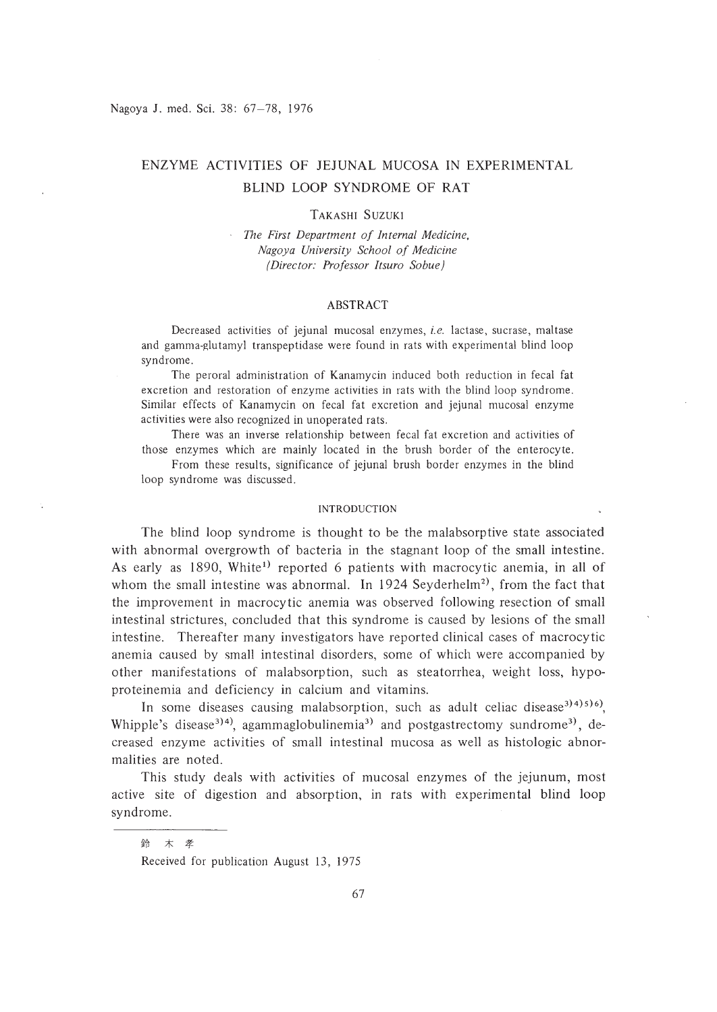# ENZYME ACTIVITIES OF JEJUNAL MUCOSA IN EXPERIMENTAL BLIND LOOP SYNDROME OF RAT

### TAKASHI SUZUKI

*The First Department of Internal Medicine, Nagoya University School of Medicine (Director: Professor ltsuro Sobue)*

### ABSTRACT

Decreased activities of jejunal mucosal enzymes, *i.e.* lactase, sucrase, maltase and gamma-glutamyl transpeptidase were found in rats with experimental blind loop syndrome.

The peroral administration of Kanamycin induced both reduction in fecal fat excretion and restoration of enzyme activities in rats with the blind loop syndrome. Similar effects of Kanamycin on fecal fat excretion and jejunal mucosal enzyme activities were also recognized in unoperated rats.

There was an inverse relationship between fecal fat excretion and activities of those enzymes which are mainly located in the brush border of the enterocyte.

From these results, significance of jejunal brush border enzymes in the blind loop syndrome was discussed.

#### INTRODUCTION

The blind loop syndrome is thought to be the malabsorptive state associated with abnormal overgrowth of bacteria in the stagnant loop of the small intestine. As early as 1890, White<sup>1)</sup> reported 6 patients with macrocytic anemia, in all of whom the small intestine was abnormal. In 1924 Seyderhelm<sup>2</sup>, from the fact that the improvement in macrocytic anemia was observed following resection of small intestinal strictures, concluded that this syndrome is caused by lesions of the small intestine. Thereafter many investigators have reported clinical cases of macrocytic anemia caused by small intestinal disorders, some of which were accompanied by other manifestations of malabsorption, such as steatorrhea, weight loss, hypoproteinemia and deficiency in calcium and vitamins.

In some diseases causing malabsorption, such as adult celiac disease<sup>3141516</sup>, Whipple's disease<sup>314)</sup>, agammaglobulinemia<sup>3)</sup> and postgastrectomy sundrome<sup>31</sup>, decreased enzyme activities of small intestinal mucosa as well as histologic abnormalities are noted.

This study deals with activities of mucosal enzymes of the jejunum, most active site of digestion and absorption, in rats with experimental blind loop syndrome.

鈴 木 孝

Received for publication August 13, 1975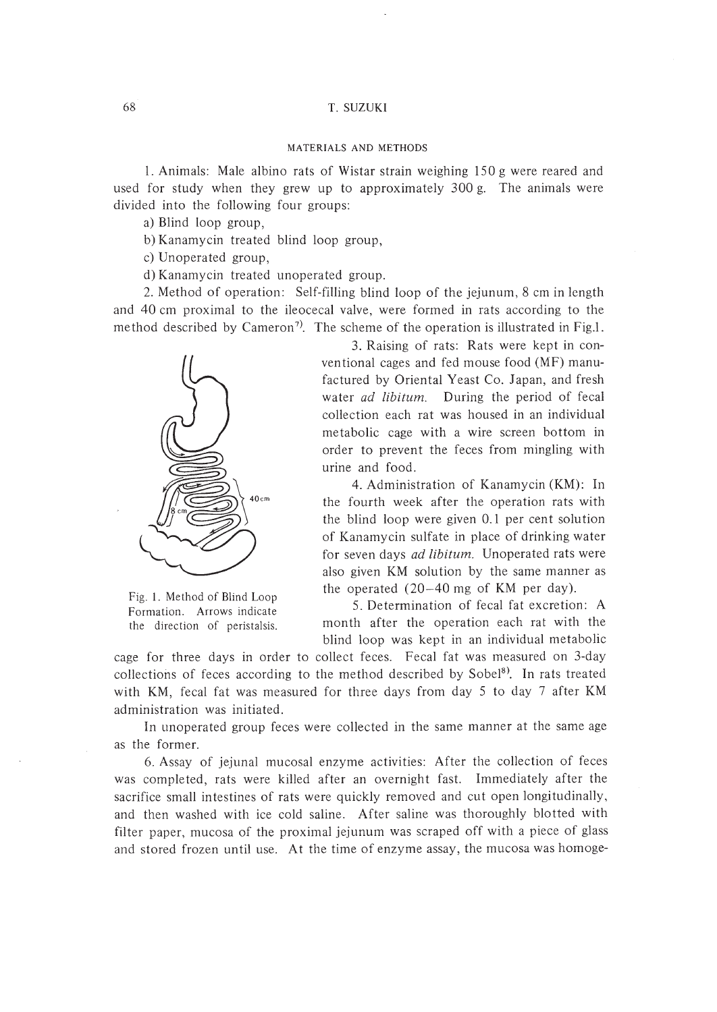#### MATERIALS AND METHODS

1. Animals: Male albino rats of Wistar strain weighing 150 g were reared and used for study when they grew up to approximately 300 g. The animals were divided into the following four groups:

a) Blind loop group,

b) Kanamycin treated blind loop group,

c) Unoperated group,

d) Kanamycin treated unoperated group.

2. Method of operation: Self-filling blind loop of the jejunum, 8 cm in length and 40 cm proximal to the ileocecal valve, were formed in rats according to the method described by Cameron<sup>7)</sup>. The scheme of the operation is illustrated in Fig.1.



Fig. I. Method of Blind Loop Formation. Arrows indicate the direction of peristalsis.

3. Raising of rats: Rats were kept in conventional cages and fed mouse food (MF) manufactured by Oriental Yeast Co. Japan, and fresh water *ad libitum.* During the period of fecal collection each rat was housed in an individual metabolic cage with a wire screen bottom in order to prevent the feces from mingling with urine and food.

4. Administration of Kanamycin (KM): In the fourth week after the operation rats with the blind loop were given 0.1 per cent solution of Kanamycin sulfate in place of drinking water for seven days *ad libitum.* Unoperated rats were also given KM solution by the same manner as the operated (20-40 mg of KM per day).

5. Determination of fecal fat excretion: A month after the operation each rat with the blind loop was kept in an individual metabolic

cage for three days in order to collect feces. Fecal fat was measured on 3-day collections of feces according to the method described by Sobel<sup>8</sup>. In rats treated with KM, fecal fat was measured for three days from day 5 to day 7 after KM administration was initiated.

In unoperated group feces were collected in the same manner at the same age as the former.

6. Assay of jejunal mucosal enzyme activities: After the collection of feces was completed, rats were killed after an overnight fast. Immediately after the sacrifice small intestines of rats were quickly removed and cut open longitudinally, and then washed with ice cold saline. After saline was thoroughly blotted with filter paper, mucosa of the proximal jejunum was scraped off with a piece of glass and stored frozen until use. At the time of enzyme assay, the mucosa was homoge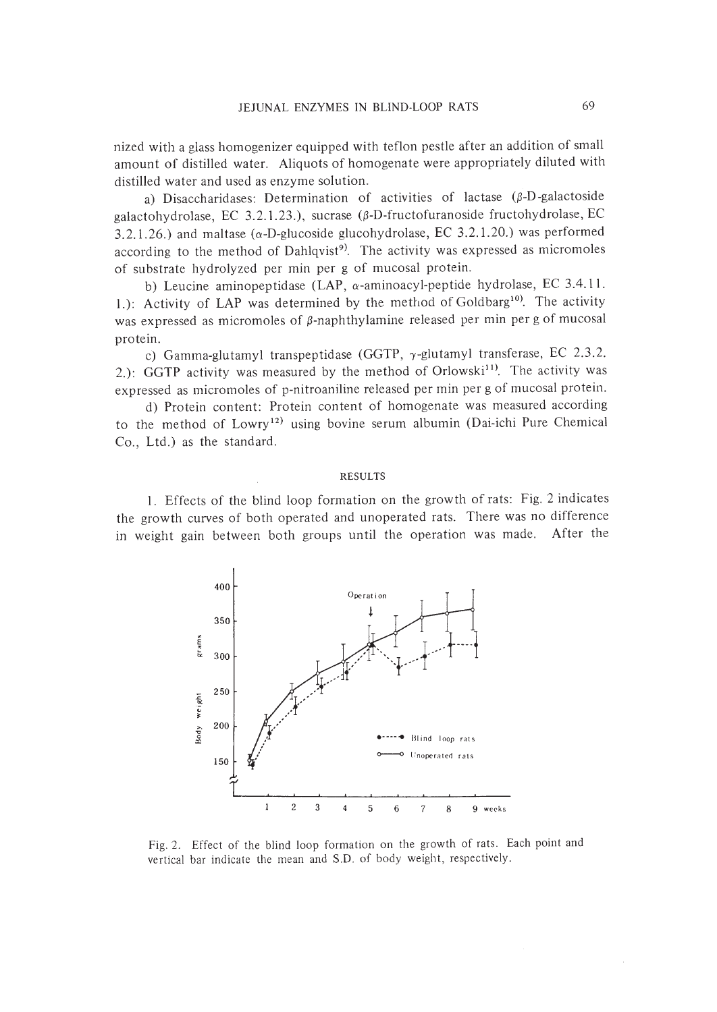nized with a glass homogenizer equipped with teflon pestle after an addition of small amount of distilled water. Aliquots of homogenate were appropriately diluted with distilled water and used as enzyme solution.

a) Disaccharidases: Determination of activities of lactase  $(\beta-D)$ -galactoside galactohydrolase, EC 3.2.1.23.), sucrase ( $\beta$ -D-fructofuranoside fructohydrolase, EC 3.2.1.26.) and maltase ( $\alpha$ -D-glucoside glucohydrolase, EC 3.2.1.20.) was performed according to the method of Dahlqvist<sup>9)</sup>. The activity was expressed as micromoles of substrate hydrolyzed per min per g of mucosal protein.

b) Leucine aminopeptidase (LAP,  $\alpha$ -aminoacyl-peptide hydrolase, EC 3.4.11. 1.): Activity of LAP was determined by the method of Goldbarg<sup>10</sup>. The activity was expressed as micromoles of  $\beta$ -naphthylamine released per min per g of mucosal protein.

c) Gamma-glutamyl transpeptidase (GGTP,  $\gamma$ -glutamyl transferase, EC 2.3.2. 2.): GGTP activity was measured by the method of Orlowski<sup>11)</sup>. The activity was expressed as micromoles of p-nitroaniline released per min per g of mucosal protein.

d) Protein content: Protein content of homogenate was measured according to the method of Lowry<sup>12)</sup> using bovine serum albumin (Dai-ichi Pure Chemical Co., Ltd.) as the standard.

### RESULTS

I. Effects of the blind loop formation on the growth of rats: Fig. 2 indicates the growth curves of both operated and unoperated rats. There was no difference in weight gain between both groups until the operation was made. After the



Fig. 2. Effect of the blind loop formation on the growth of rats. Each point and vertical bar indicate the mean and S.D. of body weight, respectively.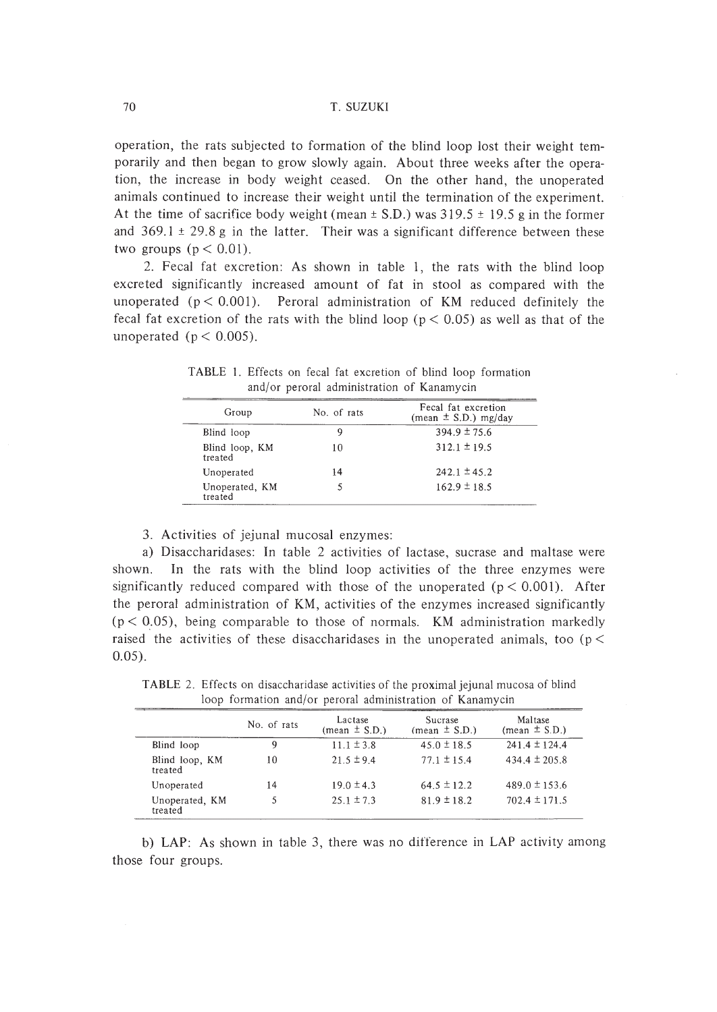operation, the rats subjected to formation of the blind loop lost their weight temporarily and then began to grow slowly again. About three weeks after the operation, the increase in body weight ceased. On the other hand, the unoperated animals continued to increase their weight until the termination of the experiment. At the time of sacrifice body weight (mean  $\pm$  S.D.) was 319.5  $\pm$  19.5 g in the former and  $369.1 \pm 29.8$  g in the latter. Their was a significant difference between these two groups  $(p < 0.01)$ .

2. Fecal fat excretion: As shown in table I, the rats with the blind loop excreted significantly increased amount of fat in stool as compared with the unoperated  $(p < 0.001)$ . Peroral administration of KM reduced definitely the fecal fat excretion of the rats with the blind loop ( $p < 0.05$ ) as well as that of the unoperated ( $p < 0.005$ ).

| Group                     | No. of rats | Fecal fat excretion<br>(mean $\pm$ S.D.) mg/day |  |
|---------------------------|-------------|-------------------------------------------------|--|
| Blind loop                |             | $394.9 \pm 75.6$                                |  |
| Blind loop, KM<br>treated | 10          | $312.1 \pm 19.5$                                |  |
| Unoperated                | 14          | $242.1 \pm 45.2$                                |  |
| Unoperated, KM<br>treated |             | $162.9 \pm 18.5$                                |  |

TABLE 1. Effects on fecal fat excretion of blind loop formation and/or peroral administration of Kanamycin

3. Activities of jejunal mucosal enzymes:

a) Disaccharidases: In table 2 activities of lactase, sucrase and maltase were shown. In the rats with the blind loop activities of the three enzymes were significantly reduced compared with those of the unoperated  $(p < 0.001)$ . After the peroral administration of KM, activities of the enzymes increased significantly  $(p < 0.05)$ , being comparable to those of normals. KM administration markedly raised the activities of these disaccharidases in the unoperated animals, too ( $p <$ 0.05).

|                           | No. of rats | Lactase<br>(mean $\pm$ S.D.) | Sucrase<br>$(\text{mean} \pm S.D.)$ | Maltase<br>(mean $\pm$ S.D.) |
|---------------------------|-------------|------------------------------|-------------------------------------|------------------------------|
| Blind loop                |             | $11.1 \pm 3.8$               | $45.0 \pm 18.5$                     | $241.4 \pm 124.4$            |
| Blind loop, KM<br>treated | 10          | $21.5 \pm 9.4$               | $77.1 \pm 15.4$                     | 434.4 $\pm$ 205.8            |
| Unoperated                | 14          | $19.0 \pm 4.3$               | $64.5 \pm 12.2$                     | $489.0 \pm 153.6$            |
| Unoperated, KM<br>treated |             | $25.1 \pm 7.3$               | $81.9 \pm 18.2$                     | $702.4 \pm 171.5$            |

TABLE 2. Effects on disaccharidase activities of the proximal jejunal mucosa of blind loop formation and/or peroral administration of Kanamycin

b) LAP: As shown in table 3, there was no difference in LAP activity among those four groups.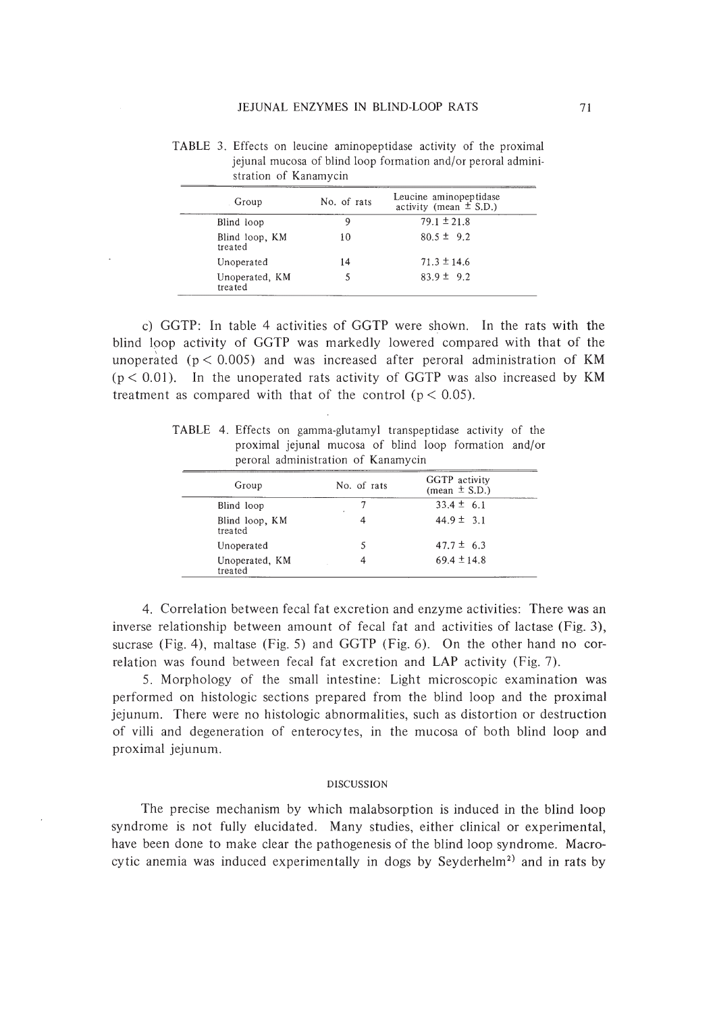| Group                     | No. of rats | Leucine aminopeptidase<br>activity (mean $\pm$ S.D.) |
|---------------------------|-------------|------------------------------------------------------|
| Blind loop                | 9           | $79.1 \pm 21.8$                                      |
| Blind loop, KM<br>treated | 10          | $80.5 \pm 9.2$                                       |
| Unoperated                | 14          | $71.3 \pm 14.6$                                      |
| Unoperated, KM<br>treated |             | $83.9 \pm 9.2$                                       |

TABLE 3. Effects on leucine aminopeptidase activity of the proximal jejunal mucosa of blind loop formation and/or peroral administration of Kanamycin

c) GGTP: In table 4 activities of GGTP were shown. In the rats with the blind Ipop activity of GGTP was markedly lowered compared with that of the unoperated ( $p < 0.005$ ) and was increased after peroral administration of KM  $(p < 0.01)$ . In the unoperated rats activity of GGTP was also increased by KM treatment as compared with that of the control ( $p < 0.05$ ).

TABLE 4. Effects on gamma-glutamyl transpeptidase activity of the proximal jejunal mucosa of blind loop formation and/or peroral administration of Kanamycin

| Group                     | No. of rats | GGTP activity<br>(mean $\pm$ S.D.) |
|---------------------------|-------------|------------------------------------|
| Blind loop                |             | $33.4 \pm 6.1$                     |
| Blind loop, KM<br>treated |             | $44.9 \pm 3.1$                     |
| Unoperated                |             | $47.7 \pm 6.3$                     |
| Unoperated, KM<br>treated |             | $69.4 \pm 14.8$                    |

4. Correlation between fecal fat excretion and enzyme activities: There was an inverse relationship between amount of fecal fat and activities of lactase (Fig. 3), sucrase (Fig. 4), maltase (Fig. 5) and GGTP (Fig. 6). On the other hand no correlation was found between fecal fat excretion and LAP activity (Fig. 7).

5. Morphology of the small intestine: Light microscopic examination was performed on histologic sections prepared from the blind loop and the proximal jejunum. There were no histologic abnormalities, such as distortion or destruction of villi and degeneration of en terocytes, in the mucosa of both blind loop and proximal jejunum.

#### DISCUSSION

The precise mechanism by which malabsorption is induced in the blind loop syndrome is not fully elucidated. Many studies, either clinical or experimental, have been done to make clear the pathogenesis of the blind loop syndrome. Macrocytic anemia was induced experimentally in dogs by Seyderhelm<sup>2)</sup> and in rats by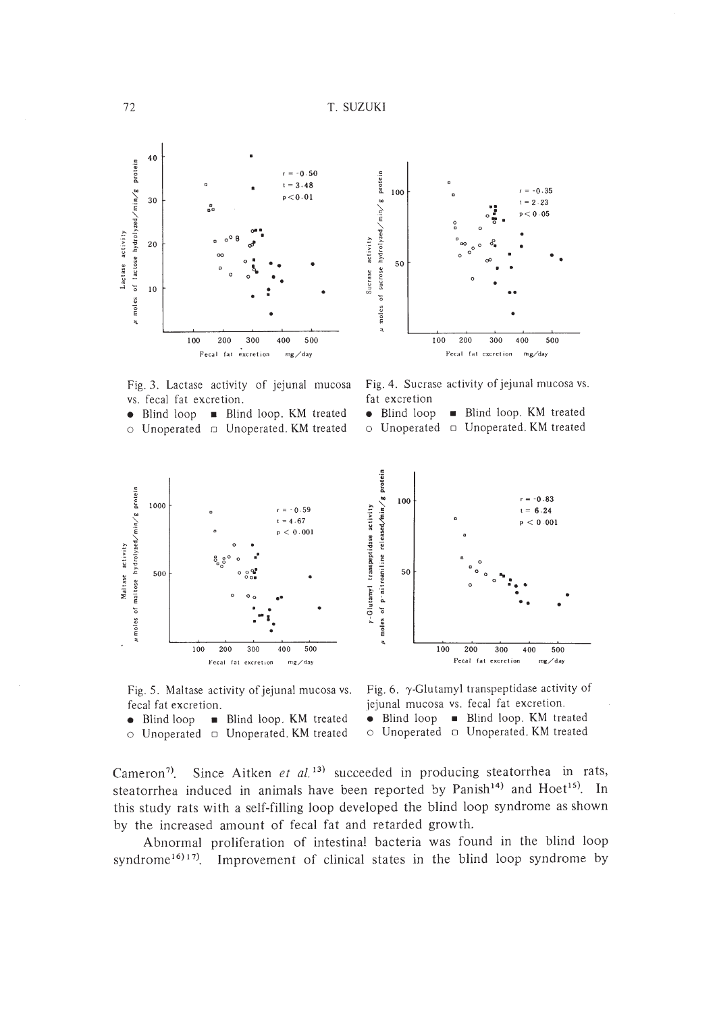



Fig. 3. Lactase activity of jejunal mucosa vs. fecal fat excretion.

• Blind loop • Blind loop. KM treated  $\circ$  Unoperated  $\circ$  Unoperated. KM treated

Fig.4. Sucrase activity of jejunal mucosa vs. fat excretion

**Blind loop. KM** treated • Blind loop

o Unoperated. KM treated o Unoperated



Fig. 5. Maltase activity of jejunal mucosa vs. fecal fat excretion.

• Blind loop • Blind loop. KM treated  $\circ$  Unoperated  $\circ$  Unoperated. KM treated

Fig. 6.  $\gamma$ -Glutamyl transpeptidase activity of jejunal mucosa vs. fecal fat excretion.

• Blind loop • Blind loop. KM treated

 $\circ$  Unoperated  $\circ$  Unoperated. KM treated

Cameron<sup>7</sup>. Since Aitken et al.<sup>13)</sup> succeeded in producing steatorrhea in rats, steatorrhea induced in animals have been reported by Panish<sup>14)</sup> and Hoet<sup>15)</sup>. In this study rats with a self-filling loop developed the blind loop syndrome as shown by the increased amount of fecal fat and retarded growth.

Abnormal proliferation of intestinal bacteria was found in the blind loop syndrome<sup>16</sup>)<sup>17</sup>. Improvement of clinical states in the blind loop syndrome by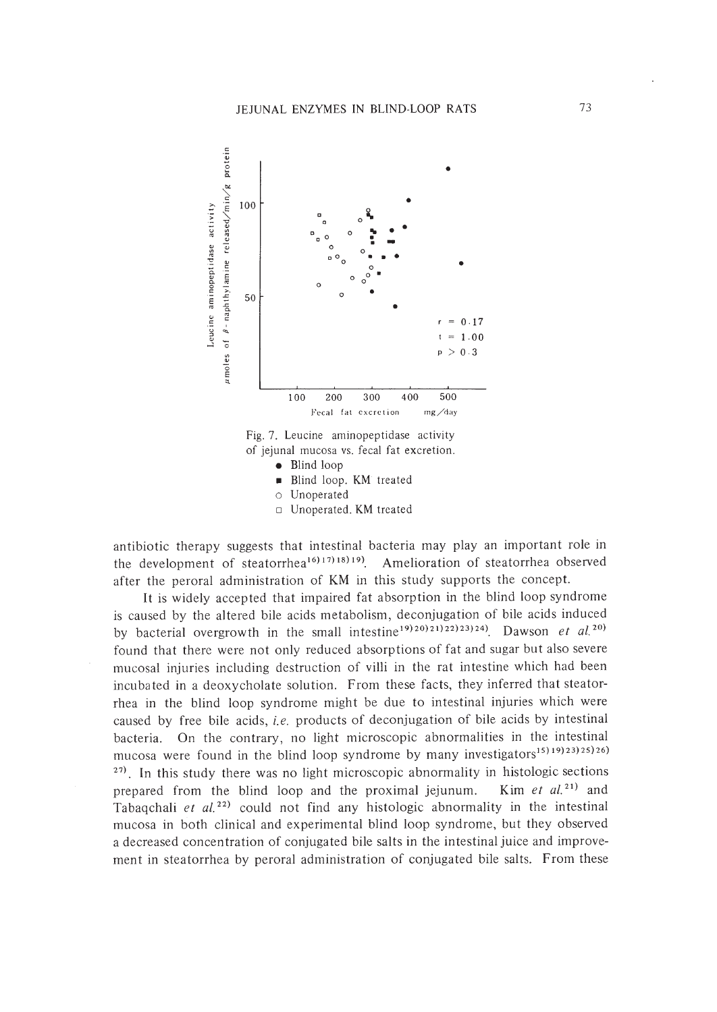

Fig. 7. Leucine aminopeptidase activity of jejunal mucosa vs. fecal fat excretion.

- Blind loop
- **Blind loop. KM** treated
- o Unoperated
- o Unoperated. KM treated

antibiotic therapy suggests that intestinal bacteria may play an important role in the development of steatorrhea<sup>16) 17</sup>)<sup>18) 19</sup>). Amelioration of steatorrhea observed after the peroral administration of KM in this study supports the concept.

It is widely accepted that impaired fat absorption in the blind loop syndrome is caused by the altered bile acids metabolism, deconjugation of bile acids induced by bacterial overgrowth in the small intestine<sup>19)20</sup>)<sup>21</sup>)<sup>22</sup>)<sup>22</sup>)<sup>23</sup>)<sup>24</sup>. Dawson *et al.*<sup>20</sup> found that there were not only reduced absorptions of fat and sugar but also severe mucosal injuries including destruction of villi in the rat intestine which had been incubated in a deoxycholate solution. From these facts, they inferred that steatorrhea in the blind loop syndrome might be due to intestinal injuries which were caused by free bile acids, i.e. products of deconjugation of bile acids by intestinal bacteria. On the contrary, no light microscopic abnormalities in the intestinal mucosa were found in the blind loop syndrome by many investigators<sup>15</sup>)<sup>19</sup>)<sup>23</sup>)<sup>25</sup>)<sup>26</sup>) 27). In this study there was no light microscopic abnormality in histologic sections prepared from the blind loop and the proximal jejunum. Kim *et al.*<sup>21</sup> and Tabaqchali *et*  $al^{(22)}$  could not find any histologic abnormality in the intestinal mucosa in both clinical and experimental blind loop syndrome, but they observed a decreased concentration of conjugated bile salts in the intestinal juice and improvement in steatorrhea by peroral administration of conjugated bile salts. From these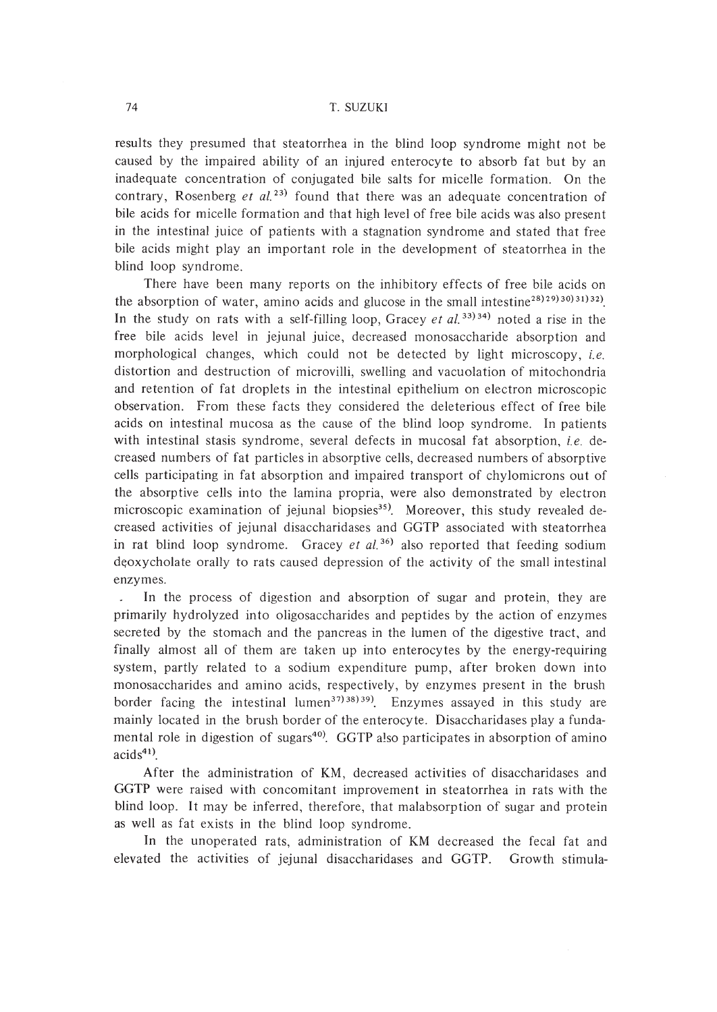results they presumed that steatorrhea in the blind loop syndrome might not be caused by the impaired ability of an injured enterocyte to absorb fat but by an inadequate concentration of conjugated bile salts for micelle formation. On the contrary, Rosenberg *et ai. 23)* found that there was an adequate concentration of bile acids for micelle formation and that high level of free bile acids was also present in the intestinal juice of patients with a stagnation syndrome and stated that free bile acids might play an important role in the development of steatorrhea in the blind loop syndrome.

There have been many reports on the inhibitory effects of free bile acids on the absorption of water, amino acids and glucose in the small intestine<sup>28)29</sup>(30)31)32). In the study on rats with a self-filling loop, Gracey *et al.* 33)34) noted a rise in the free bile acids level in jejunal juice, decreased monosaccharide absorption and morphological changes, which could not be detected by light microscopy, *i.e.* distortion and destruction of microvilli, swelling and vacuolation of mitochondria and retention of fat droplets in the intestinal epithelium on electron microscopic observation. From these facts they considered the deleterious effect of free bile acids on intestinal mucosa as the cause of the blind loop syndrome. In patients with intestinal stasis syndrome, several defects in mucosal fat absorption, *i.e.* decreased numbers of fat particles in absorptive cells, decreased numbers of absorptive cells participating in fat absorption and impaired transport of chylomicrons out of the absorptive cells into the lamina propria, were also demonstrated by electron microscopic examination of jejunal biopsies<sup>35)</sup>. Moreover, this study revealed decreased activities of jejunal disaccharidases and GGTP associated with steatorrhea in rat blind loop syndrome. Gracey *et al. <sup>36</sup> )* also reported that feeding sodium deoxycholate orally to rats caused depression of the activity of the small intestinal enzymes.

In the process of digestion and absorption of sugar and protein, they are primarily hydrolyzed into oligosaccharides and peptides by the action of enzymes secreted by the stomach and the pancreas in the lumen of the digestive tract, and finally almost all of them are taken up into enterocytes by the energy-requiring system, partly related to a sodium expenditure pump, after broken down into monosaccharides and amino acids, respectively, by enzymes present in the brush border facing the intestinal lumen<sup>37)38)39</sup>. Enzymes assayed in this study are mainly located in the brush border of the enterocyte. Disaccharidases playa fundamental role in digestion of sugars<sup>40)</sup>. GGTP also participates in absorption of amino  $acids<sup>41</sup>$ .

After the administration of KM, decreased activities of disaccharidases and GGTP were raised with concomitant improvement in steatorrhea in rats with the blind loop. It may be inferred, therefore, that malabsorption of sugar and protein as well as fat exists in the blind loop syndrome.

In the unoperated rats, administration of KM decreased the fecal fat and elevated the activities of jejunal disaccharidases and GGTP. Growth stimula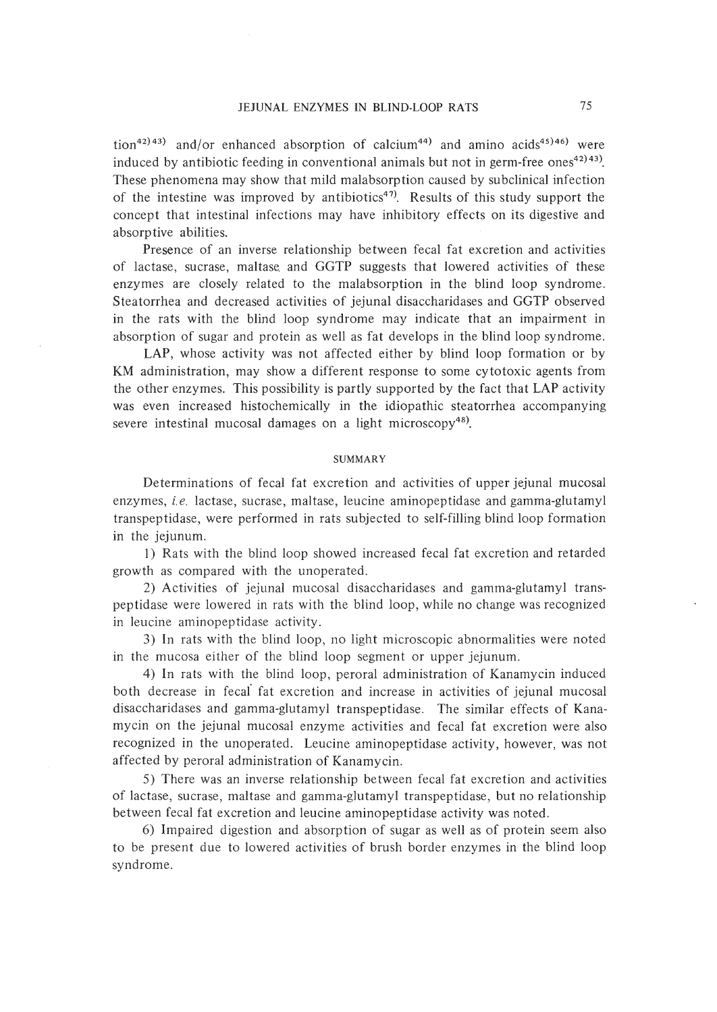tion<sup>42)</sup>43) and/or enhanced absorption of calcium<sup>44)</sup> and amino acids<sup>45)46)</sup> were induced by antibiotic feeding in conventional animals but not in germ-free ones<sup>42)43)</sup>. These phenomena may show that mild malabsorption caused by subclinical infection of the intestine was improved by antibiotics<sup>47)</sup>. Results of this study support the concept that intestinal infections may have inhibitory effects on its digestive and absorptive abilities.

Presence of an inverse relationship between fecal fat excretion and activities of lactase, sucrase, maltase. and GGTP suggests that lowered activities of these enzymes are closely related to the malabsorption in the blind loop syndrome. Steatorrhea and decreased activities of jejunal disaccharidases and GGTP observed in the rats with the blind loop syndrome may indicate that an impairment in absorption of sugar and protein as well as fat develops in the blind loop syndrome.

LAP, whose activity was not affected either by blind loop formation or by KM administration, may show a different response to some cytotoxic agents from the other enzymes. This possibility is partly supported by the fact that LAP activity was even increased histochemically in the idiopathic steatorrhea accompanying severe intestinal mucosal damages on a light microscopy<sup>48)</sup>.

#### SUMMARY

Determinations of fecal fat excretion and activities of upper jejunal mucosal enzymes, *i.e.* lactase, sucrase, maltase, leucine aminopeptidase and gamma-glutamyl transpeptidase, were performed in rats subjected to self-filling blind loop formation in the jejunum.

I) Rats with the blind loop showed increased fecal fat excretion and retarded growth as compared with the unoperated.

2) Activities of jejunal mucosal disaccharidases and gamma-glutamyl transpeptidase were lowered in rats with the blind loop, while no change was recognized in leucine aminopeptidase activity.

3) In rats with the blind loop, no light microscopic abnormalities were noted in the mucosa either of the blind loop segment or upper jejunum.

4) In rats with the blind loop, peroral administration of Kanamycin induced both decrease in fecal fat excretion and increase in activities of jejunal mucosal disaccharidases and gamma-glutamyl transpeptidase. The similar effects of Kanamycin on the jejunal mucosal enzyme activities and fecal fat excretion were also recognized in the unoperated. Leucine aminopeptidase activity, however, was not affected by peroral administration of Kanamycin.

5) There was an inverse relationship between fecal fat excretion and activities of lactase, sucrase, maltase and gamma-glutamyl transpeptidase, but no relationship between fecal fat excretion and leucine aminopeptidase activity was noted.

6) Impaired digestion and absorption of sugar as well as of protein seem also to be present due to lowered activities of brush border enzymes in the blind loop syndrome.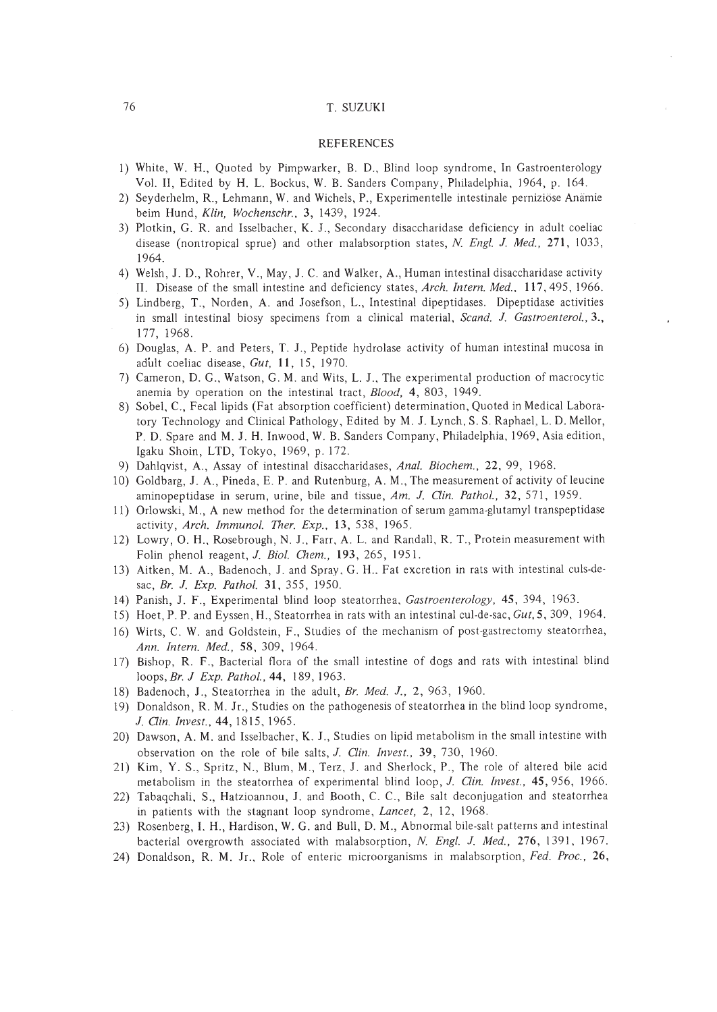#### REFERENCES

- I) White, W. H., Quoted by Pimpwarker, B. D., Blind loop syndrome, In Gastroenterology Vol. II, Edited by H. L. Bockus, W. B. Sanders Company, Philadelphia, 1964, p. 164.
- 2) Seyderhelm, R., Lehmann, W. and Wichels, P., Experimentelle intestinale pernizibse Anamie beim Hund, *Klin. Wochenschr.,* 3, 1439, 1924.
- 3) Plotkin, G. R. and Isselbacher, K. J., Secondary disaccharidase deficiency in adult coeliac disease (nontropical sprue) and other malabsorption states, *N. Engl.* I. *Med.,* 271, 1033, 1964.
- 4) Welsh, J. D., Rohrer, V., May, J. C. and Walker, A., Human intestinal disaccharidase activity II. Disease of the small intestine and deficiency states, *Arch. Intern. Med.,* 117,495,1966.
- 5) Lindberg, T., Norden, A. and Josefson, L., Intestinal dipeptidases. Dipeptidase activities in small intestinal biosy specimens from a clinical material, *Scand.* I. *Gastroenterol.,3.,* 177, 1968.
- 6) Douglas, A. P. and Peters, T. J., Peptide hydrolase activity of human intestinal mucosa in adult coeliac disease, *Gut,* 11, 15, 1970.
- 7) Cameron, D. G., Watson, G. M. and Wits, L. 1., The experimental production of macrocytic anemia by operation on the intestinal tract, *Blood,* 4,803, 1949.
- 8) Sobel, C., Fecal lipids (Fat absorption coefficient) determination, Quoted in Medical Laboratory Technology and Clinical Pathology, Edited by M. J. Lynch, S. S. Raphael, L. D. Mellor, P. D. Spare and M. 1. H. Inwood, W. B. Sanders Company, Philadelphia, 1969, Asia edition, Igaku Shoin, LTD, Tokyo, 1969, p. 172.
- 9) Dahlqvist, A., Assay of intestinal disaccharidases, *Anal. Biochem.,* 22,99, 1968.
- 10) Goldbarg, J. A., Pineda, E. P. and Rutenburg, A. M., The measurement of activity of leucine aminopeptidase in serum, urine, bile and tissue, *Am.* J. *Gin. Pathol.,* 32,571, 1959.
- II) Orlowski, M., A new method for the determination of serum gamma-glutamyl transpeptidase activity, *Arch. Immunol. Ther. Exp..* 13, 538, 1965.
- 12) Lowry, O. H., Rosebrough, N. 1., Farr, A. L. and Randall, R. T., Protein measurement with Folin phenol reagent, *J. Biol. Chem.*, 193, 265, 1951.
- 13) Aitken, M. A., Badenoch, 1. and Spray, G. H.. Fat excretion in rats with intestinal culs-desac, *Br.* J. *Exp. Pathol.* 31,355, 1950.
- 14) Panish, J. F., Experimental blind loop steatorrhea, *Gastroenterology,* 45, 394, 1963.
- 15) Hoet, P. P. and Eyssen, H., Steatorrhea in rats with an intestinal cul-de-sac, *Gut,S,* 309, 1964.
- 16) Wirts, C. W. and Goldstein, F., Studies of the mechanism of post-gastrectomy steatorrhea, *Ann. Intern. Med.,* 58,309, 1964.
- 17) Bishop, R. F., Bacterial flora of the small intestine of dogs and rats with intestinal blind loops, *Br.* J *Exp. Pathol.,* 44, 189, 1963.
- 18) Badenoch, J., Steatorrhea in the adult, *Br. Med.* J., 2,963, 1960.
- 19) Donaldson, R. M. Jr., Studies on the pathogenesis of steatorrhea in the blind loop syndrome, *1. Gin. Invest.,* 44, 1815, 1965.
- 20) Dawson, A. M. and Isselbacher, K. 1., Studies on lipid metabolism in the small intestine with observation on the role of bile salts, J. *Clin. Invest.,* 39,730, 1960.
- 21) Kim, Y. S., Spritz, N., Blum, M., Terz, 1. and Sherlock, P., The role of altered bile acid metabolism in the steatorrhea of experimental blind loop, J. *Clin. Invest.,* 45,956, 1966.
- 22) Tabaqchali, S., Hatzioannou, 1. and Booth, C. c., Bile salt deconjugation and steatorrhea in patients with the stagnant loop syndrome, *Lancet,* 2, 12, 1968.
- 23) Rosenberg, I. H., Hardison, W. G. and Bull, D. M., Abnormal bile-salt patterns and intestinal bacterial overgrowth associated with malabsorption, *N. Engl.* J. *Med.,* 276, 1391, 1967.
- 24) Donaldson, R. M. Jr., Role of enteric microorganisms in malabsorption, *Fed. Proc., 26,*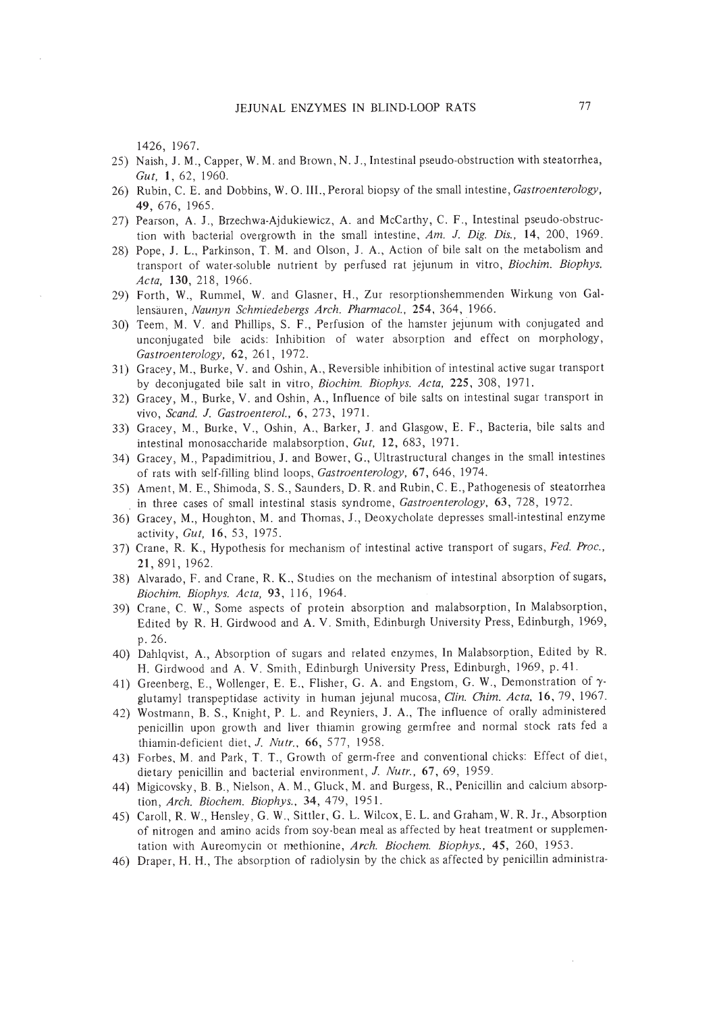1426, 1967.

- 25) Naish, J. M., Capper, W. M. and Brown, N. J., Intestinal pseudo-obstruction with steatorrhea, *Gut,* 1,62, 1960.
- 26) Rubin, C. E. and Dobbins, W. O. III., Peroral biopsy of the small intestine, *Gastroenterology,* 49,676, 1965.
- 27) Pearson, A. J., Brzechwa-Ajdukiewicz, A. and McCarthy, C. F., Intestinal pseudo-obstruction with bacterial overgrowth in the small intestine, *Am.* J. *Dig. Dis.,* 14, 200, 1969.
- 28) Pope, J. L., Parkinson, T. M. and Olson, J. A., Action of bile salt on the metabolism and transport of water-soluble nutrient by perfused rat jejunum in vitro, *Biochim. Biophys. Acta,* 130,218, 1966.
- 29) Forth, W., Rummel, W. and Glasner, H., Zur resorptionshemmenden Wirkung von Gallensauren, *Naul1yn Schmiedebergs Arch. Pharmacol.,* 254, 364, 1966.
- 30) Teem, M. V. and Phillips, S. F., Perfusion of the hamster jejunum with conjugated and unconjugated bile acids: Inhibition of water absorption and effect on morphology, *Gastroenterology,* 62, 261, 1972.
- 31) Gracey, M., Burke, V. and Oshin, A., Reversible inhibition of intestinal active sugar transport by deconjugated bile salt in vitro, *Biochim. Biophys. Acta,* 225, 308, 1971.
- 32) Gracey, M., Burke, V. and Oshin, A., Influence of bile salts on intestinal sugar transport in vivo, *Scand.* J. *Gastroenterol.* , 6, 273, 1971.
- 33) Gracey, M., Burke, V., Oshin, A., Barker, J. and Glasgow, E. F., Bacteria, bile salts and intestinal monosaccharide malabsorption, *Gut,* 12, 683, 1971.
- 34) Gracey, M., Papadimitriou, J. and Bower, G., Ultrastructural changes in the small intestines of rats with self.filling blind loops, *Gastroenterology,* 67,646, 1974.
- 35) Ament, M. E., Shimoda, S. S., Saunders, D. R. and Rubin, C. E., Pathogenesis of steatorrhea in three cases of small intestinal stasis syndrome, *Gastroenterology,* 63, 728, 1972.
- 36) Gracey, M., Houghton, M. and Thomas, J., Deoxycholate depresses small-intestinal enzyme activity, *Gut,* 16,53, 1975.
- 37) Crane, R. K., Hypothesis for mechanism of intestinal active transport of sugars, *Fed. Proc.,* 21,891,1962.
- 38) Alvarado, F. and Crane, R. K., Studies on the mechanism of intestinal absorption of sugars, *Biochim. Biophys. Acta,* 93, 116, 1964.
- 39) Crane, C. W., Some aspects of protein absorption and malabsorption, In Malabsorption, Edited by R. H. Girdwood and A. V. Smith, Edinburgh University Press, Edinburgh, 1969, p.26.
- 40) Dahlqvist, A., Absorption of sugars and related enzymes, In Malabsorption, Edited by R. H. Girdwood and A. V. Smith, Edinburgh University Press, Edinburgh, 1969, p.41.
- 41) Greenberg, E., Wollenger, E. E., Flisher, G. A. and Engstom, G. W., Demonstration of  $\gamma$ glutamyl transpeptidase activity in human jejunal mucosa, *Clin. Chim. Acta,* 16,79, 1967.
- 42) Wostmann, B. S., Knight, P. L. and Reyniers, J. A., The influence of orally administered penicillin upon growth and liver thiamin growing germfree and normal stock rats fed a thiamin-deficient diet, 1. *Nutr..* 66, 577, 1958.
- 43) Forbes, M. and Park, T. T., Growth of germ.free and conventional chicks: Effect of diet, dietary penicillin and bacterial environment, J. *NUlr.,* 67,69, 1959.
- 44) Migicovsky, B. B., Nielson, A. M., Gluck, M. and Burgess, R., Penicillin and calcium absorption, *Arch. Biochem. Biophys.,* 34, 479, 1951.
- 45) Caroll, R. W., Hensley, G. W., Sittler, G. L. Wilcox, E. L. and Graham, W. R. Jr., Absorption of nitrogen and amino acids from soy·bean meal as affected by heat treatment or supplementation with Aureomycin or methionine, *Arch. Biochem. Biophys.,* 45, 260, 1953.
- 46) Draper, H. H., The absorption of radiolysin by the chick as affected by penicillin administra-